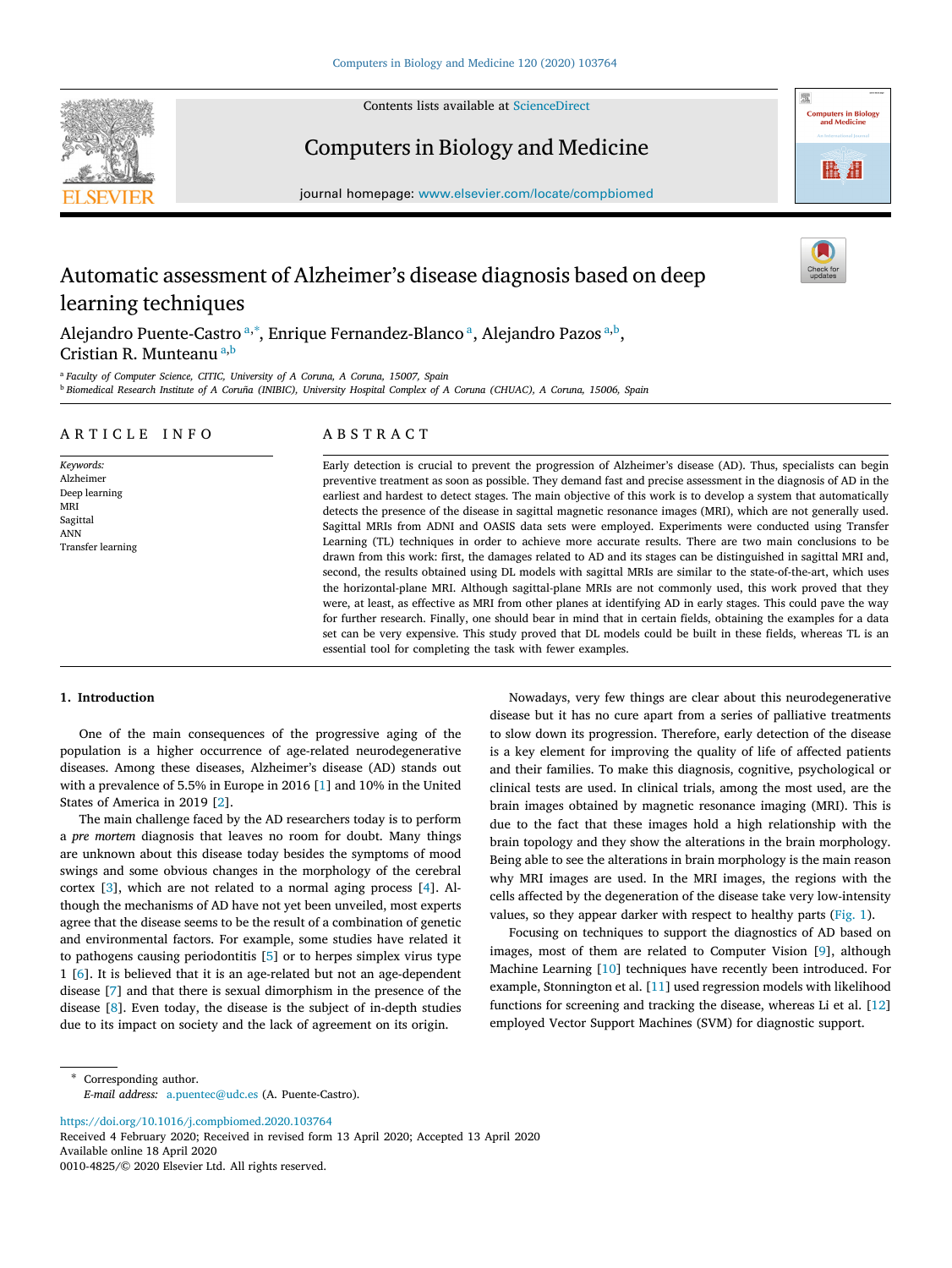Contents lists available at [ScienceDirect](http://www.elsevier.com/locate/compbiomed)





# Computers in Biology and Medicine

journal homepage: [www.elsevier.com/locate/compbiomed](http://www.elsevier.com/locate/compbiomed)

# Automatic assessment of Alzheimer's disease diagnosis based on deep learning techniques

Alej[a](#page-0-0)ndro Puente-Castro ª<sup>,[∗](#page-0-1)</sup>, Enrique Fernandez-Blanco ª, Alejandro Pazos ª<sup>,[b](#page-0-2)</sup>, Cristi[a](#page-0-0)n R. Munteanu<sup>a,[b](#page-0-2)</sup>

<span id="page-0-2"></span><span id="page-0-0"></span><sup>a</sup> *Faculty of Computer Science, CITIC, University of A Coruna, A Coruna, 15007, Spain* <sup>b</sup> *Biomedical Research Institute of A Coruña (INIBIC), University Hospital Complex of A Coruna (CHUAC), A Coruna, 15006, Spain*

## ARTICLE INFO

*Keywords:* Alzheimer Deep learning MRI Sagittal ANN

Transfer learning

# A B S T R A C T

Early detection is crucial to prevent the progression of Alzheimer's disease (AD). Thus, specialists can begin preventive treatment as soon as possible. They demand fast and precise assessment in the diagnosis of AD in the earliest and hardest to detect stages. The main objective of this work is to develop a system that automatically detects the presence of the disease in sagittal magnetic resonance images (MRI), which are not generally used. Sagittal MRIs from ADNI and OASIS data sets were employed. Experiments were conducted using Transfer Learning (TL) techniques in order to achieve more accurate results. There are two main conclusions to be drawn from this work: first, the damages related to AD and its stages can be distinguished in sagittal MRI and, second, the results obtained using DL models with sagittal MRIs are similar to the state-of-the-art, which uses the horizontal-plane MRI. Although sagittal-plane MRIs are not commonly used, this work proved that they were, at least, as effective as MRI from other planes at identifying AD in early stages. This could pave the way for further research. Finally, one should bear in mind that in certain fields, obtaining the examples for a data set can be very expensive. This study proved that DL models could be built in these fields, whereas TL is an essential tool for completing the task with fewer examples.

## **1. Introduction**

One of the main consequences of the progressive aging of the population is a higher occurrence of age-related neurodegenerative diseases. Among these diseases, Alzheimer's disease (AD) stands out with a prevalence of 5.5% in Europe in 2016 [[1](#page-5-0)] and 10% in the United States of America in 2019 [\[2\]](#page-5-1).

The main challenge faced by the AD researchers today is to perform a *pre mortem* diagnosis that leaves no room for doubt. Many things are unknown about this disease today besides the symptoms of mood swings and some obvious changes in the morphology of the cerebral cortex [\[3\]](#page-5-2), which are not related to a normal aging process [[4](#page-5-3)]. Although the mechanisms of AD have not yet been unveiled, most experts agree that the disease seems to be the result of a combination of genetic and environmental factors. For example, some studies have related it to pathogens causing periodontitis [[5](#page-5-4)] or to herpes simplex virus type 1 [\[6\]](#page-5-5). It is believed that it is an age-related but not an age-dependent disease [[7](#page-5-6)] and that there is sexual dimorphism in the presence of the disease [\[8\]](#page-5-7). Even today, the disease is the subject of in-depth studies due to its impact on society and the lack of agreement on its origin.

Nowadays, very few things are clear about this neurodegenerative disease but it has no cure apart from a series of palliative treatments to slow down its progression. Therefore, early detection of the disease is a key element for improving the quality of life of affected patients and their families. To make this diagnosis, cognitive, psychological or clinical tests are used. In clinical trials, among the most used, are the brain images obtained by magnetic resonance imaging (MRI). This is due to the fact that these images hold a high relationship with the brain topology and they show the alterations in the brain morphology. Being able to see the alterations in brain morphology is the main reason why MRI images are used. In the MRI images, the regions with the cells affected by the degeneration of the disease take very low-intensity values, so they appear darker with respect to healthy parts [\(Fig.](#page-1-0) [1\)](#page-1-0).

Focusing on techniques to support the diagnostics of AD based on images, most of them are related to Computer Vision [\[9\]](#page-5-8), although Machine Learning [[10\]](#page-5-9) techniques have recently been introduced. For example, Stonnington et al. [\[11](#page-5-10)] used regression models with likelihood functions for screening and tracking the disease, whereas Li et al. [\[12](#page-5-11)] employed Vector Support Machines (SVM) for diagnostic support.

<span id="page-0-1"></span>Corresponding author. *E-mail address:* [a.puentec@udc.es](mailto:a.puentec@udc.es) (A. Puente-Castro).

<https://doi.org/10.1016/j.compbiomed.2020.103764>

Available online 18 April 2020 0010-4825/© 2020 Elsevier Ltd. All rights reserved. Received 4 February 2020; Received in revised form 13 April 2020; Accepted 13 April 2020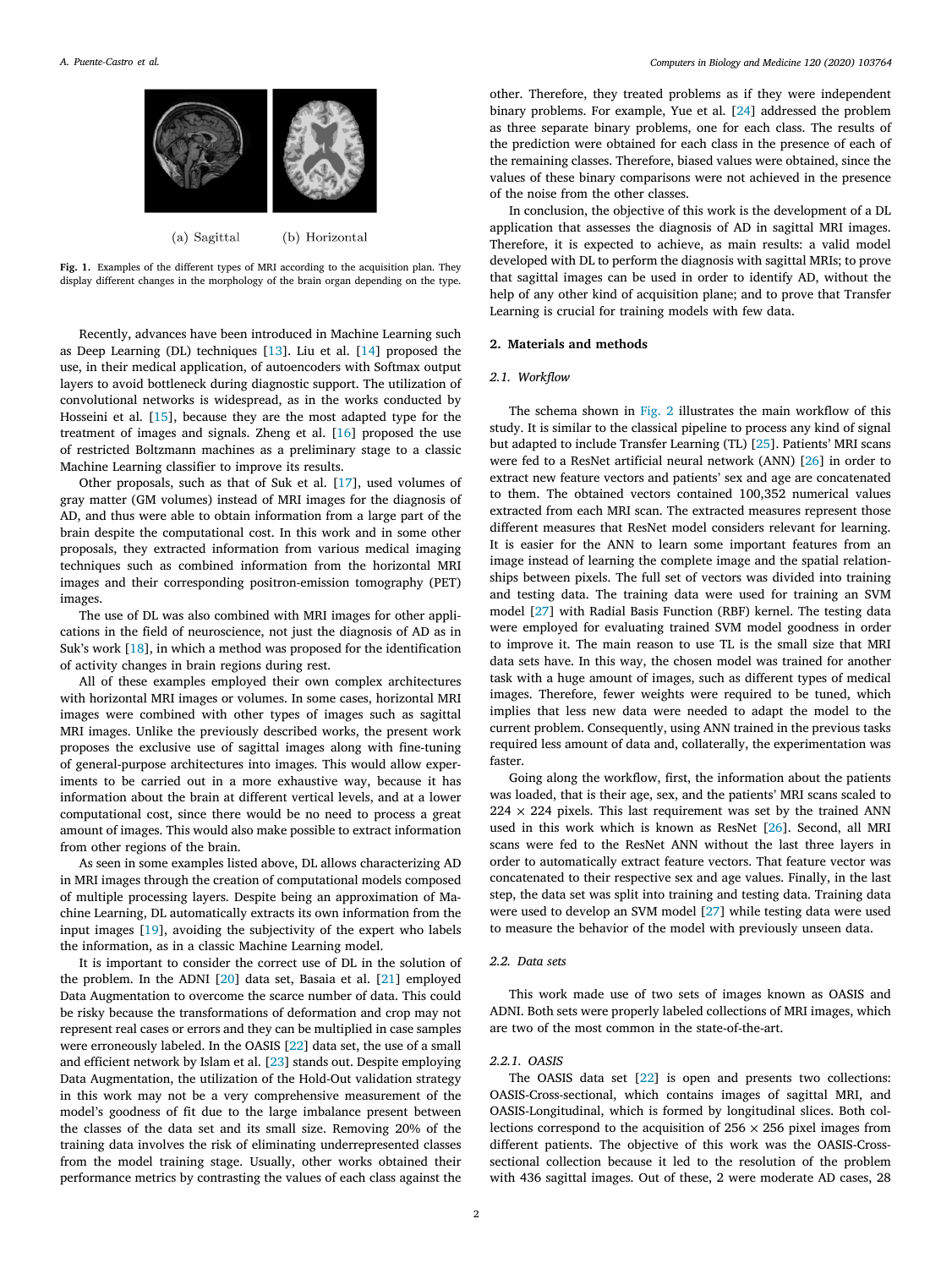

<span id="page-1-0"></span>**Fig. 1.** Examples of the different types of MRI according to the acquisition plan. They display different changes in the morphology of the brain organ depending on the type.

Recently, advances have been introduced in Machine Learning such as Deep Learning (DL) techniques [[13\]](#page-5-12). Liu et al. [[14\]](#page-5-13) proposed the use, in their medical application, of autoencoders with Softmax output layers to avoid bottleneck during diagnostic support. The utilization of convolutional networks is widespread, as in the works conducted by Hosseini et al. [\[15](#page-5-14)], because they are the most adapted type for the treatment of images and signals. Zheng et al. [[16\]](#page-5-15) proposed the use of restricted Boltzmann machines as a preliminary stage to a classic Machine Learning classifier to improve its results.

Other proposals, such as that of Suk et al. [[17\]](#page-5-16), used volumes of gray matter (GM volumes) instead of MRI images for the diagnosis of AD, and thus were able to obtain information from a large part of the brain despite the computational cost. In this work and in some other proposals, they extracted information from various medical imaging techniques such as combined information from the horizontal MRI images and their corresponding positron-emission tomography (PET) images.

The use of DL was also combined with MRI images for other applications in the field of neuroscience, not just the diagnosis of AD as in Suk's work [\[18](#page-5-17)], in which a method was proposed for the identification of activity changes in brain regions during rest.

All of these examples employed their own complex architectures with horizontal MRI images or volumes. In some cases, horizontal MRI images were combined with other types of images such as sagittal MRI images. Unlike the previously described works, the present work proposes the exclusive use of sagittal images along with fine-tuning of general-purpose architectures into images. This would allow experiments to be carried out in a more exhaustive way, because it has information about the brain at different vertical levels, and at a lower computational cost, since there would be no need to process a great amount of images. This would also make possible to extract information from other regions of the brain.

As seen in some examples listed above, DL allows characterizing AD in MRI images through the creation of computational models composed of multiple processing layers. Despite being an approximation of Machine Learning, DL automatically extracts its own information from the input images [\[19](#page-5-18)], avoiding the subjectivity of the expert who labels the information, as in a classic Machine Learning model.

It is important to consider the correct use of DL in the solution of the problem. In the ADNI [[20\]](#page-5-19) data set, Basaia et al. [[21\]](#page-5-20) employed Data Augmentation to overcome the scarce number of data. This could be risky because the transformations of deformation and crop may not represent real cases or errors and they can be multiplied in case samples were erroneously labeled. In the OASIS [[22](#page-6-0)] data set, the use of a small and efficient network by Islam et al. [[23\]](#page-6-1) stands out. Despite employing Data Augmentation, the utilization of the Hold-Out validation strategy in this work may not be a very comprehensive measurement of the model's goodness of fit due to the large imbalance present between the classes of the data set and its small size. Removing 20% of the training data involves the risk of eliminating underrepresented classes from the model training stage. Usually, other works obtained their performance metrics by contrasting the values of each class against the

other. Therefore, they treated problems as if they were independent binary problems. For example, Yue et al. [[24\]](#page-6-2) addressed the problem as three separate binary problems, one for each class. The results of the prediction were obtained for each class in the presence of each of the remaining classes. Therefore, biased values were obtained, since the values of these binary comparisons were not achieved in the presence of the noise from the other classes.

In conclusion, the objective of this work is the development of a DL application that assesses the diagnosis of AD in sagittal MRI images. Therefore, it is expected to achieve, as main results: a valid model developed with DL to perform the diagnosis with sagittal MRIs; to prove that sagittal images can be used in order to identify AD, without the help of any other kind of acquisition plane; and to prove that Transfer Learning is crucial for training models with few data.

## **2. Materials and methods**

## *2.1. Workflow*

The schema shown in [Fig.](#page-2-0) [2](#page-2-0) illustrates the main workflow of this study. It is similar to the classical pipeline to process any kind of signal but adapted to include Transfer Learning (TL) [[25](#page-6-3)]. Patients' MRI scans were fed to a ResNet artificial neural network (ANN) [[26\]](#page-6-4) in order to extract new feature vectors and patients' sex and age are concatenated to them. The obtained vectors contained 100,352 numerical values extracted from each MRI scan. The extracted measures represent those different measures that ResNet model considers relevant for learning. It is easier for the ANN to learn some important features from an image instead of learning the complete image and the spatial relationships between pixels. The full set of vectors was divided into training and testing data. The training data were used for training an SVM model [[27\]](#page-6-5) with Radial Basis Function (RBF) kernel. The testing data were employed for evaluating trained SVM model goodness in order to improve it. The main reason to use TL is the small size that MRI data sets have. In this way, the chosen model was trained for another task with a huge amount of images, such as different types of medical images. Therefore, fewer weights were required to be tuned, which implies that less new data were needed to adapt the model to the current problem. Consequently, using ANN trained in the previous tasks required less amount of data and, collaterally, the experimentation was faster.

Going along the workflow, first, the information about the patients was loaded, that is their age, sex, and the patients' MRI scans scaled to  $224 \times 224$  pixels. This last requirement was set by the trained ANN used in this work which is known as ResNet [[26\]](#page-6-4). Second, all MRI scans were fed to the ResNet ANN without the last three layers in order to automatically extract feature vectors. That feature vector was concatenated to their respective sex and age values. Finally, in the last step, the data set was split into training and testing data. Training data were used to develop an SVM model [[27\]](#page-6-5) while testing data were used to measure the behavior of the model with previously unseen data.

## *2.2. Data sets*

This work made use of two sets of images known as OASIS and ADNI. Both sets were properly labeled collections of MRI images, which are two of the most common in the state-of-the-art.

## *2.2.1. OASIS*

The OASIS data set [\[22](#page-6-0)] is open and presents two collections: OASIS-Cross-sectional, which contains images of sagittal MRI, and OASIS-Longitudinal, which is formed by longitudinal slices. Both collections correspond to the acquisition of  $256 \times 256$  pixel images from different patients. The objective of this work was the OASIS-Crosssectional collection because it led to the resolution of the problem with 436 sagittal images. Out of these, 2 were moderate AD cases, 28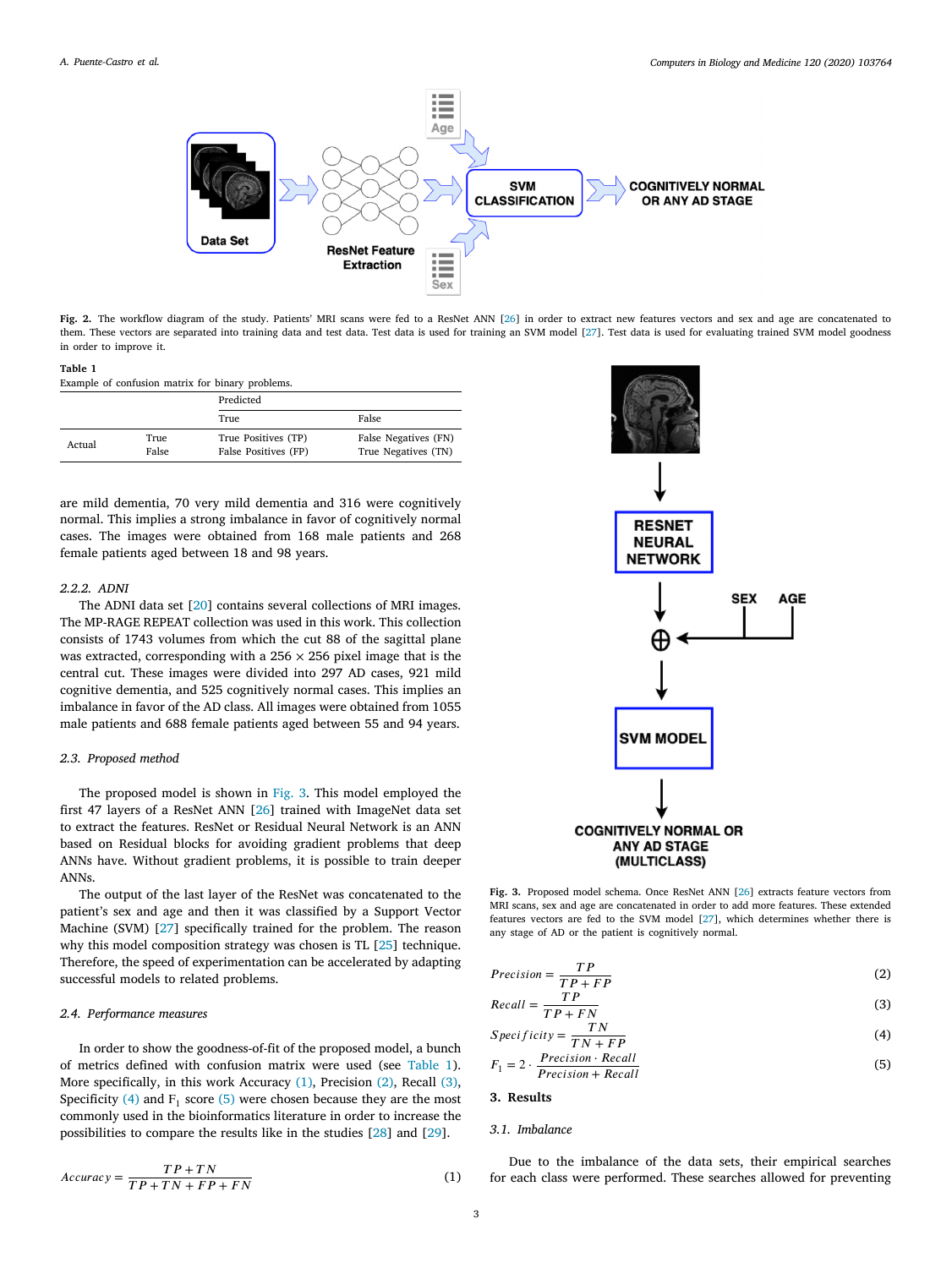

<span id="page-2-0"></span>**Fig. 2.** The workflow diagram of the study. Patients' MRI scans were fed to a ResNet ANN [[26\]](#page-6-4) in order to extract new features vectors and sex and age are concatenated to them. These vectors are separated into training data and test data. Test data is used for training an SVM model [[27\]](#page-6-5). Test data is used for evaluating trained SVM model goodness in order to improve it.

#### **Table 1**

<span id="page-2-2"></span>

|  |  | Example of confusion matrix for binary problems. |  |  |  |  |
|--|--|--------------------------------------------------|--|--|--|--|
|--|--|--------------------------------------------------|--|--|--|--|

|        |               | Predicted                                   |                                             |  |  |
|--------|---------------|---------------------------------------------|---------------------------------------------|--|--|
|        |               | True                                        | False                                       |  |  |
| Actual | True<br>False | True Positives (TP)<br>False Positives (FP) | False Negatives (FN)<br>True Negatives (TN) |  |  |

are mild dementia, 70 very mild dementia and 316 were cognitively normal. This implies a strong imbalance in favor of cognitively normal cases. The images were obtained from 168 male patients and 268 female patients aged between 18 and 98 years.

## *2.2.2. ADNI*

The ADNI data set [[20\]](#page-5-19) contains several collections of MRI images. The MP-RAGE REPEAT collection was used in this work. This collection consists of 1743 volumes from which the cut 88 of the sagittal plane was extracted, corresponding with a 256  $\times$  256 pixel image that is the central cut. These images were divided into 297 AD cases, 921 mild cognitive dementia, and 525 cognitively normal cases. This implies an imbalance in favor of the AD class. All images were obtained from 1055 male patients and 688 female patients aged between 55 and 94 years.

#### *2.3. Proposed method*

The proposed model is shown in [Fig.](#page-2-1) [3.](#page-2-1) This model employed the first 47 layers of a ResNet ANN [[26\]](#page-6-4) trained with ImageNet data set to extract the features. ResNet or Residual Neural Network is an ANN based on Residual blocks for avoiding gradient problems that deep ANNs have. Without gradient problems, it is possible to train deeper ANNs.

The output of the last layer of the ResNet was concatenated to the patient's sex and age and then it was classified by a Support Vector Machine (SVM) [[27\]](#page-6-5) specifically trained for the problem. The reason why this model composition strategy was chosen is TL [[25\]](#page-6-3) technique. Therefore, the speed of experimentation can be accelerated by adapting successful models to related problems.

## *2.4. Performance measures*

In order to show the goodness-of-fit of the proposed model, a bunch of metrics defined with confusion matrix were used (see [Table](#page-2-2) [1](#page-2-2)). More specifically, in this work Accuracy [\(1\)](#page-2-3), Precision ([2](#page-2-4)), Recall ([3](#page-2-5)), Specificity  $(4)$  $(4)$  $(4)$  and  $F_1$  score  $(5)$  $(5)$  $(5)$  were chosen because they are the most commonly used in the bioinformatics literature in order to increase the possibilities to compare the results like in the studies [\[28](#page-6-6)] and [\[29](#page-6-7)].

$$
Accuracy = \frac{TP + TN}{TP + TN + FP + FN}
$$
 (1)



<span id="page-2-1"></span>**Fig. 3.** Proposed model schema. Once ResNet ANN [[26](#page-6-4)] extracts feature vectors from MRI scans, sex and age are concatenated in order to add more features. These extended features vectors are fed to the SVM model [[27\]](#page-6-5), which determines whether there is any stage of AD or the patient is cognitively normal.

<span id="page-2-5"></span><span id="page-2-4"></span>
$$
Precision = \frac{TP}{TP + FP}
$$
 (2)

$$
Recall = \frac{TP}{TP + FN}
$$
 (3)

<span id="page-2-6"></span>
$$
Specificity = \frac{TN}{TN + FP}
$$
\n
$$
F = 2 \quad Precision \cdot Recall
$$
\n(4)

<span id="page-2-7"></span>
$$
F_1 = 2 \cdot \frac{Precision \cdot Recall}{Precision + Recall}
$$
\n(5)

# **3. Results**

## *3.1. Imbalance*

<span id="page-2-3"></span>Due to the imbalance of the data sets, their empirical searches for each class were performed. These searches allowed for preventing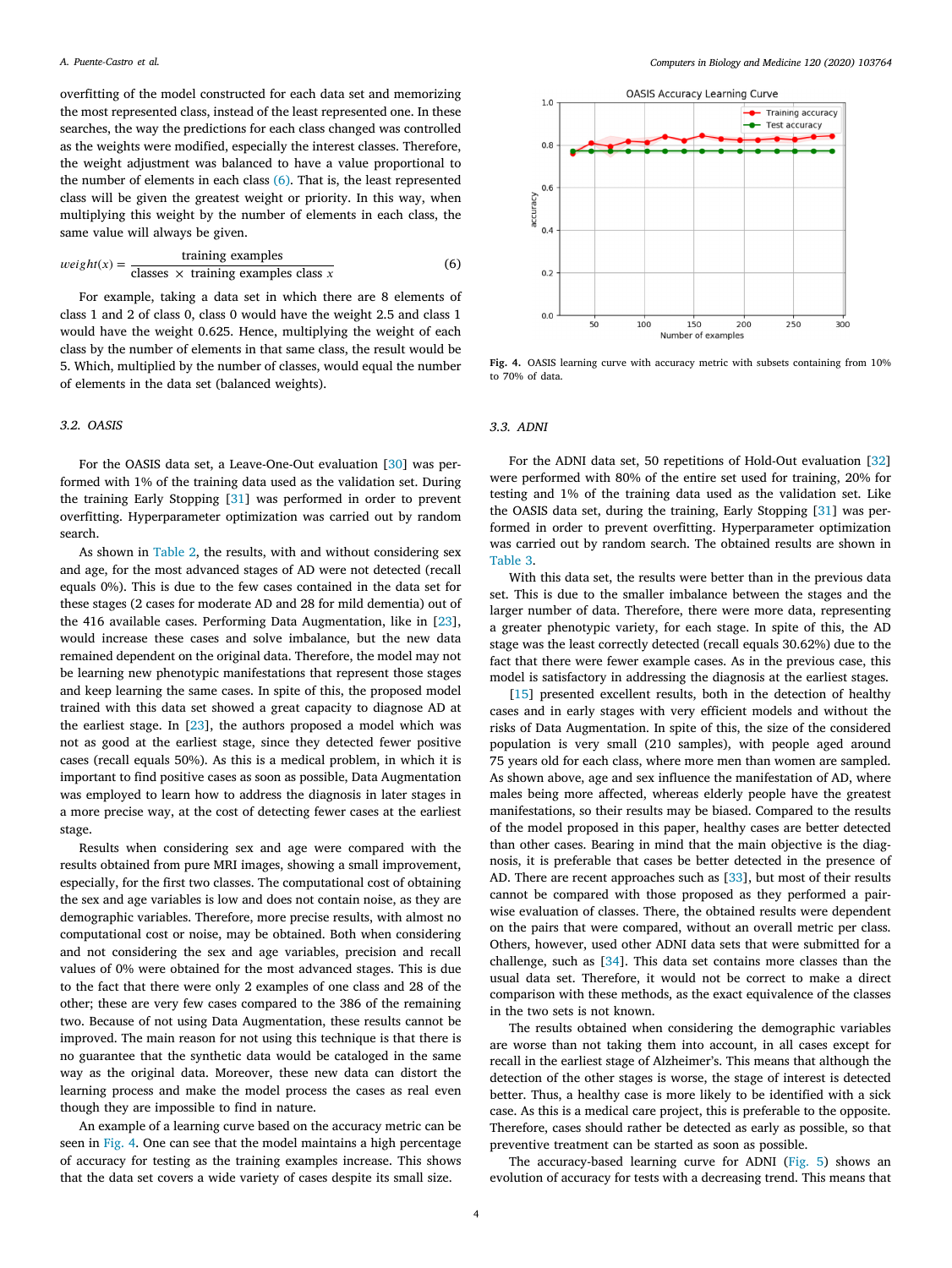overfitting of the model constructed for each data set and memorizing the most represented class, instead of the least represented one. In these searches, the way the predictions for each class changed was controlled as the weights were modified, especially the interest classes. Therefore, the weight adjustment was balanced to have a value proportional to the number of elements in each class [\(6\)](#page-3-0). That is, the least represented class will be given the greatest weight or priority. In this way, when multiplying this weight by the number of elements in each class, the same value will always be given.

*weight(x)* = 
$$
\frac{\text{training examples}}{\text{classes } \times \text{training examples class } x}
$$
 (6)

For example, taking a data set in which there are 8 elements of class 1 and 2 of class 0, class 0 would have the weight 2.5 and class 1 would have the weight 0.625. Hence, multiplying the weight of each class by the number of elements in that same class, the result would be 5. Which, multiplied by the number of classes, would equal the number of elements in the data set (balanced weights).

## *3.2. OASIS*

For the OASIS data set, a Leave-One-Out evaluation [[30\]](#page-6-8) was performed with 1% of the training data used as the validation set. During the training Early Stopping [\[31](#page-6-9)] was performed in order to prevent overfitting. Hyperparameter optimization was carried out by random search.

As shown in [Table](#page-4-0) [2,](#page-4-0) the results, with and without considering sex and age, for the most advanced stages of AD were not detected (recall equals 0%). This is due to the few cases contained in the data set for these stages (2 cases for moderate AD and 28 for mild dementia) out of the 416 available cases. Performing Data Augmentation, like in [[23](#page-6-1)], would increase these cases and solve imbalance, but the new data remained dependent on the original data. Therefore, the model may not be learning new phenotypic manifestations that represent those stages and keep learning the same cases. In spite of this, the proposed model trained with this data set showed a great capacity to diagnose AD at the earliest stage. In [[23\]](#page-6-1), the authors proposed a model which was not as good at the earliest stage, since they detected fewer positive cases (recall equals 50%). As this is a medical problem, in which it is important to find positive cases as soon as possible, Data Augmentation was employed to learn how to address the diagnosis in later stages in a more precise way, at the cost of detecting fewer cases at the earliest stage.

Results when considering sex and age were compared with the results obtained from pure MRI images, showing a small improvement, especially, for the first two classes. The computational cost of obtaining the sex and age variables is low and does not contain noise, as they are demographic variables. Therefore, more precise results, with almost no computational cost or noise, may be obtained. Both when considering and not considering the sex and age variables, precision and recall values of 0% were obtained for the most advanced stages. This is due to the fact that there were only 2 examples of one class and 28 of the other; these are very few cases compared to the 386 of the remaining two. Because of not using Data Augmentation, these results cannot be improved. The main reason for not using this technique is that there is no guarantee that the synthetic data would be cataloged in the same way as the original data. Moreover, these new data can distort the learning process and make the model process the cases as real even though they are impossible to find in nature.

An example of a learning curve based on the accuracy metric can be seen in [Fig.](#page-3-1) [4.](#page-3-1) One can see that the model maintains a high percentage of accuracy for testing as the training examples increase. This shows that the data set covers a wide variety of cases despite its small size.



<span id="page-3-1"></span><span id="page-3-0"></span>**Fig. 4.** OASIS learning curve with accuracy metric with subsets containing from 10% to 70% of data.

## *3.3. ADNI*

For the ADNI data set, 50 repetitions of Hold-Out evaluation [\[32](#page-6-10)] were performed with 80% of the entire set used for training, 20% for testing and 1% of the training data used as the validation set. Like the OASIS data set, during the training, Early Stopping [[31\]](#page-6-9) was performed in order to prevent overfitting. Hyperparameter optimization was carried out by random search. The obtained results are shown in [Table](#page-4-1) [3](#page-4-1).

With this data set, the results were better than in the previous data set. This is due to the smaller imbalance between the stages and the larger number of data. Therefore, there were more data, representing a greater phenotypic variety, for each stage. In spite of this, the AD stage was the least correctly detected (recall equals 30.62%) due to the fact that there were fewer example cases. As in the previous case, this model is satisfactory in addressing the diagnosis at the earliest stages.

[[15\]](#page-5-14) presented excellent results, both in the detection of healthy cases and in early stages with very efficient models and without the risks of Data Augmentation. In spite of this, the size of the considered population is very small (210 samples), with people aged around 75 years old for each class, where more men than women are sampled. As shown above, age and sex influence the manifestation of AD, where males being more affected, whereas elderly people have the greatest manifestations, so their results may be biased. Compared to the results of the model proposed in this paper, healthy cases are better detected than other cases. Bearing in mind that the main objective is the diagnosis, it is preferable that cases be better detected in the presence of AD. There are recent approaches such as [[33\]](#page-6-11), but most of their results cannot be compared with those proposed as they performed a pairwise evaluation of classes. There, the obtained results were dependent on the pairs that were compared, without an overall metric per class. Others, however, used other ADNI data sets that were submitted for a challenge, such as [[34\]](#page-6-12). This data set contains more classes than the usual data set. Therefore, it would not be correct to make a direct comparison with these methods, as the exact equivalence of the classes in the two sets is not known.

The results obtained when considering the demographic variables are worse than not taking them into account, in all cases except for recall in the earliest stage of Alzheimer's. This means that although the detection of the other stages is worse, the stage of interest is detected better. Thus, a healthy case is more likely to be identified with a sick case. As this is a medical care project, this is preferable to the opposite. Therefore, cases should rather be detected as early as possible, so that preventive treatment can be started as soon as possible.

The accuracy-based learning curve for ADNI [\(Fig.](#page-4-2) [5\)](#page-4-2) shows an evolution of accuracy for tests with a decreasing trend. This means that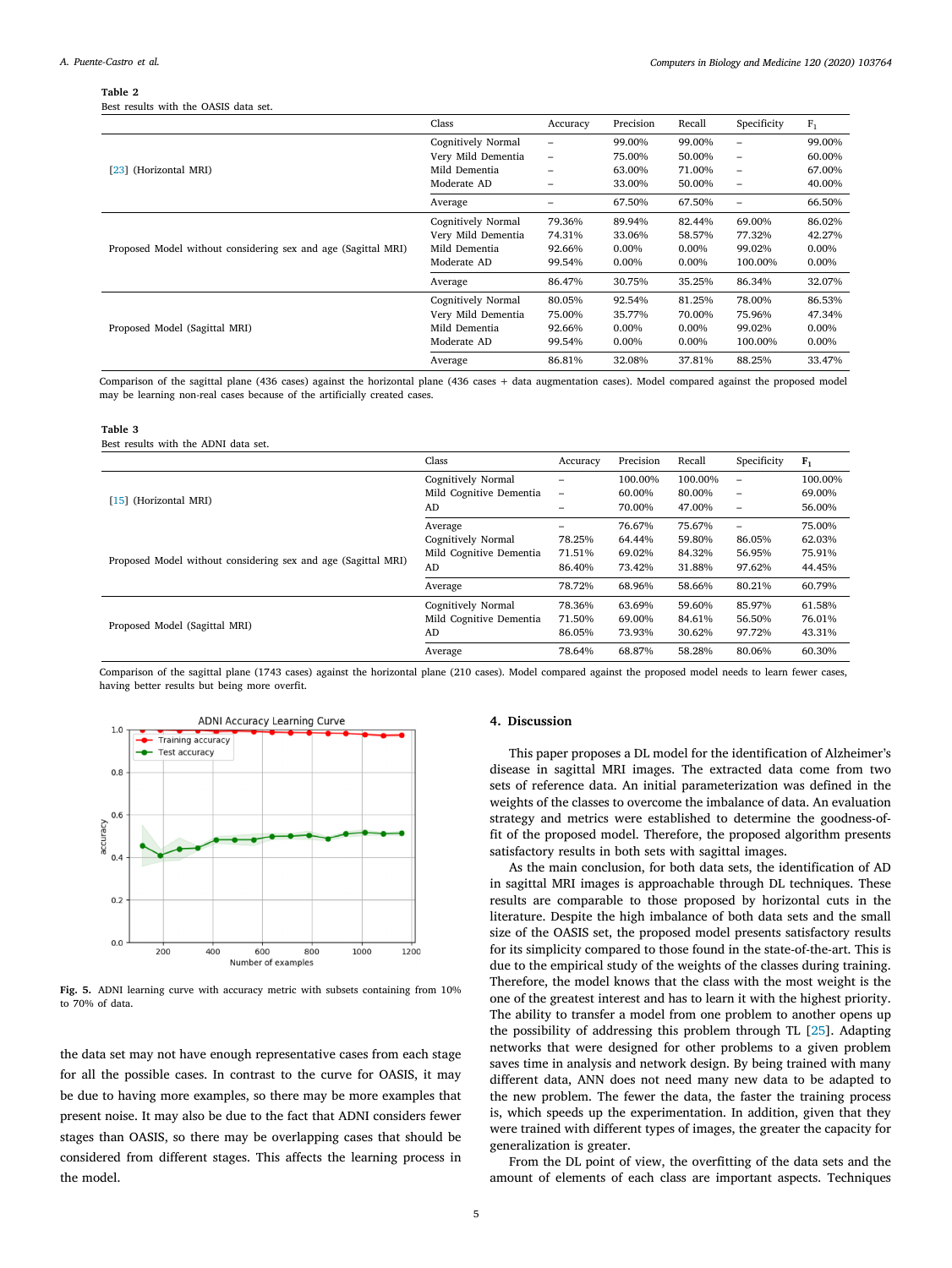#### <span id="page-4-0"></span>**Table 2** Best results with the OASIS data set.

|                                                               | Class              | Accuracy | Precision | Recall | Specificity | $F_1$    |
|---------------------------------------------------------------|--------------------|----------|-----------|--------|-------------|----------|
|                                                               | Cognitively Normal | ÷        | 99.00%    | 99.00% | -           | 99.00%   |
|                                                               | Very Mild Dementia | -        | 75.00%    | 50.00% | -           | 60.00%   |
| [23] (Horizontal MRI)                                         | Mild Dementia      | -        | 63.00%    | 71.00% | -           | 67.00%   |
|                                                               | Moderate AD        | -        | 33.00%    | 50.00% | -           | 40.00%   |
|                                                               | Average            | -        | 67.50%    | 67.50% | -           | 66.50%   |
|                                                               | Cognitively Normal | 79.36%   | 89.94%    | 82.44% | 69.00%      | 86.02%   |
|                                                               | Very Mild Dementia | 74.31%   | 33.06%    | 58.57% | 77.32%      | 42.27%   |
| Proposed Model without considering sex and age (Sagittal MRI) | Mild Dementia      | 92.66%   | 0.00%     | 0.00%  | 99.02%      | 0.00%    |
|                                                               | Moderate AD        | 99.54%   | 0.00%     | 0.00%  | 100.00%     | $0.00\%$ |
|                                                               | Average            | 86.47%   | 30.75%    | 35.25% | 86.34%      | 32.07%   |
|                                                               | Cognitively Normal | 80.05%   | 92.54%    | 81.25% | 78.00%      | 86.53%   |
|                                                               | Very Mild Dementia | 75.00%   | 35.77%    | 70.00% | 75.96%      | 47.34%   |
| Proposed Model (Sagittal MRI)                                 | Mild Dementia      | 92.66%   | 0.00%     | 0.00%  | 99.02%      | 0.00%    |
|                                                               | Moderate AD        | 99.54%   | 0.00%     | 0.00%  | 100.00%     | $0.00\%$ |
|                                                               | Average            | 86.81%   | 32.08%    | 37.81% | 88.25%      | 33.47%   |

Comparison of the sagittal plane (436 cases) against the horizontal plane (436 cases + data augmentation cases). Model compared against the proposed model may be learning non-real cases because of the artificially created cases

## <span id="page-4-1"></span>**Table 3**

Best results with the ADNI data set.

|                                                               | Class                   | Accuracy | Precision | Recall  | Specificity              | F <sub>1</sub> |
|---------------------------------------------------------------|-------------------------|----------|-----------|---------|--------------------------|----------------|
|                                                               | Cognitively Normal      |          | 100.00%   | 100.00% | $\overline{\phantom{0}}$ | 100.00%        |
| [15] (Horizontal MRI)                                         | Mild Cognitive Dementia | -        | 60.00%    | 80.00%  | $\equiv$                 | 69.00%         |
|                                                               | AD                      | -        | 70.00%    | 47.00%  | $\overline{\phantom{0}}$ | 56.00%         |
|                                                               | Average                 |          | 76.67%    | 75.67%  | $\overline{\phantom{0}}$ | 75.00%         |
|                                                               | Cognitively Normal      | 78.25%   | 64.44%    | 59.80%  | 86.05%                   | 62.03%         |
| Proposed Model without considering sex and age (Sagittal MRI) | Mild Cognitive Dementia | 71.51%   | 69.02%    | 84.32%  | 56.95%                   | 75.91%         |
|                                                               | AD                      | 86.40%   | 73.42%    | 31.88%  | 97.62%                   | 44.45%         |
|                                                               | Average                 | 78.72%   | 68.96%    | 58.66%  | 80.21%                   | 60.79%         |
|                                                               | Cognitively Normal      | 78.36%   | 63.69%    | 59.60%  | 85.97%                   | 61.58%         |
| Proposed Model (Sagittal MRI)                                 | Mild Cognitive Dementia | 71.50%   | 69.00%    | 84.61%  | 56.50%                   | 76.01%         |
|                                                               | AD                      | 86.05%   | 73.93%    | 30.62%  | 97.72%                   | 43.31%         |
|                                                               | Average                 | 78.64%   | 68.87%    | 58.28%  | 80.06%                   | 60.30%         |

Comparison of the sagittal plane (1743 cases) against the horizontal plane (210 cases). Model compared against the proposed model needs to learn fewer cases, having better results but being more overfit.



<span id="page-4-2"></span>**Fig. 5.** ADNI learning curve with accuracy metric with subsets containing from 10% to 70% of data.

the data set may not have enough representative cases from each stage for all the possible cases. In contrast to the curve for OASIS, it may be due to having more examples, so there may be more examples that present noise. It may also be due to the fact that ADNI considers fewer stages than OASIS, so there may be overlapping cases that should be considered from different stages. This affects the learning process in the model.

#### **4. Discussion**

This paper proposes a DL model for the identification of Alzheimer's disease in sagittal MRI images. The extracted data come from two sets of reference data. An initial parameterization was defined in the weights of the classes to overcome the imbalance of data. An evaluation strategy and metrics were established to determine the goodness-offit of the proposed model. Therefore, the proposed algorithm presents satisfactory results in both sets with sagittal images.

As the main conclusion, for both data sets, the identification of AD in sagittal MRI images is approachable through DL techniques. These results are comparable to those proposed by horizontal cuts in the literature. Despite the high imbalance of both data sets and the small size of the OASIS set, the proposed model presents satisfactory results for its simplicity compared to those found in the state-of-the-art. This is due to the empirical study of the weights of the classes during training. Therefore, the model knows that the class with the most weight is the one of the greatest interest and has to learn it with the highest priority. The ability to transfer a model from one problem to another opens up the possibility of addressing this problem through TL [[25\]](#page-6-3). Adapting networks that were designed for other problems to a given problem saves time in analysis and network design. By being trained with many different data, ANN does not need many new data to be adapted to the new problem. The fewer the data, the faster the training process is, which speeds up the experimentation. In addition, given that they were trained with different types of images, the greater the capacity for generalization is greater.

From the DL point of view, the overfitting of the data sets and the amount of elements of each class are important aspects. Techniques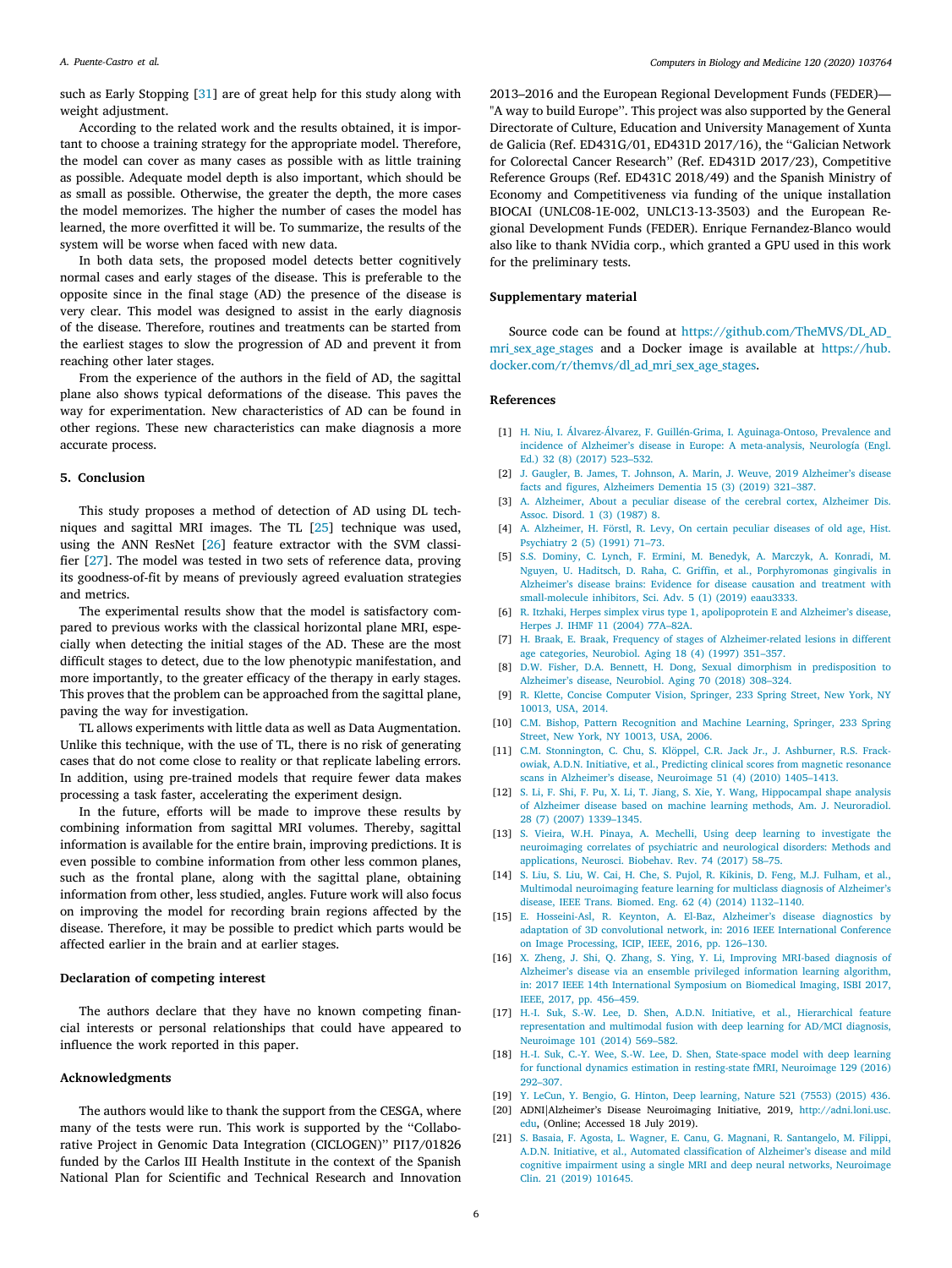such as Early Stopping [\[31](#page-6-9)] are of great help for this study along with weight adjustment.

According to the related work and the results obtained, it is important to choose a training strategy for the appropriate model. Therefore, the model can cover as many cases as possible with as little training as possible. Adequate model depth is also important, which should be as small as possible. Otherwise, the greater the depth, the more cases the model memorizes. The higher the number of cases the model has learned, the more overfitted it will be. To summarize, the results of the system will be worse when faced with new data.

In both data sets, the proposed model detects better cognitively normal cases and early stages of the disease. This is preferable to the opposite since in the final stage (AD) the presence of the disease is very clear. This model was designed to assist in the early diagnosis of the disease. Therefore, routines and treatments can be started from the earliest stages to slow the progression of AD and prevent it from reaching other later stages.

From the experience of the authors in the field of AD, the sagittal plane also shows typical deformations of the disease. This paves the way for experimentation. New characteristics of AD can be found in other regions. These new characteristics can make diagnosis a more accurate process.

## **5. Conclusion**

This study proposes a method of detection of AD using DL techniques and sagittal MRI images. The TL [[25\]](#page-6-3) technique was used, using the ANN ResNet [\[26](#page-6-4)] feature extractor with the SVM classifier [[27\]](#page-6-5). The model was tested in two sets of reference data, proving its goodness-of-fit by means of previously agreed evaluation strategies and metrics.

The experimental results show that the model is satisfactory compared to previous works with the classical horizontal plane MRI, especially when detecting the initial stages of the AD. These are the most difficult stages to detect, due to the low phenotypic manifestation, and more importantly, to the greater efficacy of the therapy in early stages. This proves that the problem can be approached from the sagittal plane, paving the way for investigation.

TL allows experiments with little data as well as Data Augmentation. Unlike this technique, with the use of TL, there is no risk of generating cases that do not come close to reality or that replicate labeling errors. In addition, using pre-trained models that require fewer data makes processing a task faster, accelerating the experiment design.

In the future, efforts will be made to improve these results by combining information from sagittal MRI volumes. Thereby, sagittal information is available for the entire brain, improving predictions. It is even possible to combine information from other less common planes, such as the frontal plane, along with the sagittal plane, obtaining information from other, less studied, angles. Future work will also focus on improving the model for recording brain regions affected by the disease. Therefore, it may be possible to predict which parts would be affected earlier in the brain and at earlier stages.

## **Declaration of competing interest**

The authors declare that they have no known competing financial interests or personal relationships that could have appeared to influence the work reported in this paper.

## **Acknowledgments**

The authors would like to thank the support from the CESGA, where many of the tests were run. This work is supported by the ''Collaborative Project in Genomic Data Integration (CICLOGEN)'' PI17/01826 funded by the Carlos III Health Institute in the context of the Spanish National Plan for Scientific and Technical Research and Innovation

2013–2016 and the European Regional Development Funds (FEDER)— "A way to build Europe''. This project was also supported by the General Directorate of Culture, Education and University Management of Xunta de Galicia (Ref. ED431G/01, ED431D 2017/16), the ''Galician Network for Colorectal Cancer Research'' (Ref. ED431D 2017/23), Competitive Reference Groups (Ref. ED431C 2018/49) and the Spanish Ministry of Economy and Competitiveness via funding of the unique installation BIOCAI (UNLC08-1E-002, UNLC13-13-3503) and the European Regional Development Funds (FEDER). Enrique Fernandez-Blanco would also like to thank NVidia corp., which granted a GPU used in this work for the preliminary tests.

## **Supplementary material**

Source code can be found at [https://github.com/TheMVS/DL\\_AD\\_](https://github.com/TheMVS/DL_AD_mri_sex_age_stages) [mri\\_sex\\_age\\_stages](https://github.com/TheMVS/DL_AD_mri_sex_age_stages) and a Docker image is available at [https://hub.](https://hub.docker.com/r/themvs/dl_ad_mri_sex_age_stages) [docker.com/r/themvs/dl\\_ad\\_mri\\_sex\\_age\\_stages](https://hub.docker.com/r/themvs/dl_ad_mri_sex_age_stages).

#### **References**

- <span id="page-5-0"></span>[1] [H. Niu, I. Álvarez-Álvarez, F. Guillén-Grima, I. Aguinaga-Ontoso, Prevalence and](http://refhub.elsevier.com/S0010-4825(20)30138-4/sb1) [incidence of Alzheimer's disease in Europe: A meta-analysis, Neurología \(Engl.](http://refhub.elsevier.com/S0010-4825(20)30138-4/sb1) [Ed.\) 32 \(8\) \(2017\) 523–532.](http://refhub.elsevier.com/S0010-4825(20)30138-4/sb1)
- <span id="page-5-1"></span>[2] [J. Gaugler, B. James, T. Johnson, A. Marin, J. Weuve, 2019 Alzheimer's disease](http://refhub.elsevier.com/S0010-4825(20)30138-4/sb2) [facts and figures, Alzheimers Dementia 15 \(3\) \(2019\) 321–387.](http://refhub.elsevier.com/S0010-4825(20)30138-4/sb2)
- <span id="page-5-2"></span>[3] [A. Alzheimer, About a peculiar disease of the cerebral cortex, Alzheimer Dis.](http://refhub.elsevier.com/S0010-4825(20)30138-4/sb3) [Assoc. Disord. 1 \(3\) \(1987\) 8.](http://refhub.elsevier.com/S0010-4825(20)30138-4/sb3)
- <span id="page-5-3"></span>[4] [A. Alzheimer, H. Förstl, R. Levy, On certain peculiar diseases of old age, Hist.](http://refhub.elsevier.com/S0010-4825(20)30138-4/sb4) [Psychiatry 2 \(5\) \(1991\) 71–73.](http://refhub.elsevier.com/S0010-4825(20)30138-4/sb4)
- <span id="page-5-4"></span>[5] [S.S. Dominy, C. Lynch, F. Ermini, M. Benedyk, A. Marczyk, A. Konradi, M.](http://refhub.elsevier.com/S0010-4825(20)30138-4/sb5) [Nguyen, U. Haditsch, D. Raha, C. Griffin, et al., Porphyromonas gingivalis in](http://refhub.elsevier.com/S0010-4825(20)30138-4/sb5) [Alzheimer's disease brains: Evidence for disease causation and treatment with](http://refhub.elsevier.com/S0010-4825(20)30138-4/sb5) [small-molecule inhibitors, Sci. Adv. 5 \(1\) \(2019\) eaau3333.](http://refhub.elsevier.com/S0010-4825(20)30138-4/sb5)
- <span id="page-5-5"></span>[6] [R. Itzhaki, Herpes simplex virus type 1, apolipoprotein E and Alzheimer's disease,](http://refhub.elsevier.com/S0010-4825(20)30138-4/sb6) [Herpes J. IHMF 11 \(2004\) 77A–82A.](http://refhub.elsevier.com/S0010-4825(20)30138-4/sb6)
- <span id="page-5-6"></span>[7] [H. Braak, E. Braak, Frequency of stages of Alzheimer-related lesions in different](http://refhub.elsevier.com/S0010-4825(20)30138-4/sb7) [age categories, Neurobiol. Aging 18 \(4\) \(1997\) 351–357.](http://refhub.elsevier.com/S0010-4825(20)30138-4/sb7)
- <span id="page-5-7"></span>[8] [D.W. Fisher, D.A. Bennett, H. Dong, Sexual dimorphism in predisposition to](http://refhub.elsevier.com/S0010-4825(20)30138-4/sb8) [Alzheimer's disease, Neurobiol. Aging 70 \(2018\) 308–324.](http://refhub.elsevier.com/S0010-4825(20)30138-4/sb8)
- <span id="page-5-8"></span>[9] [R. Klette, Concise Computer Vision, Springer, 233 Spring Street, New York, NY](http://refhub.elsevier.com/S0010-4825(20)30138-4/sb9) [10013, USA, 2014.](http://refhub.elsevier.com/S0010-4825(20)30138-4/sb9)
- <span id="page-5-9"></span>[10] [C.M. Bishop, Pattern Recognition and Machine Learning, Springer, 233 Spring](http://refhub.elsevier.com/S0010-4825(20)30138-4/sb10) [Street, New York, NY 10013, USA, 2006.](http://refhub.elsevier.com/S0010-4825(20)30138-4/sb10)
- <span id="page-5-10"></span>[11] [C.M. Stonnington, C. Chu, S. Klöppel, C.R. Jack Jr., J. Ashburner, R.S. Frack](http://refhub.elsevier.com/S0010-4825(20)30138-4/sb11)[owiak, A.D.N. Initiative, et al., Predicting clinical scores from magnetic resonance](http://refhub.elsevier.com/S0010-4825(20)30138-4/sb11) [scans in Alzheimer's disease, Neuroimage 51 \(4\) \(2010\) 1405–1413.](http://refhub.elsevier.com/S0010-4825(20)30138-4/sb11)
- <span id="page-5-11"></span>[12] [S. Li, F. Shi, F. Pu, X. Li, T. Jiang, S. Xie, Y. Wang, Hippocampal shape analysis](http://refhub.elsevier.com/S0010-4825(20)30138-4/sb12) [of Alzheimer disease based on machine learning methods, Am. J. Neuroradiol.](http://refhub.elsevier.com/S0010-4825(20)30138-4/sb12) [28 \(7\) \(2007\) 1339–1345.](http://refhub.elsevier.com/S0010-4825(20)30138-4/sb12)
- <span id="page-5-12"></span>[13] [S. Vieira, W.H. Pinaya, A. Mechelli, Using deep learning to investigate the](http://refhub.elsevier.com/S0010-4825(20)30138-4/sb13) [neuroimaging correlates of psychiatric and neurological disorders: Methods and](http://refhub.elsevier.com/S0010-4825(20)30138-4/sb13) [applications, Neurosci. Biobehav. Rev. 74 \(2017\) 58–75.](http://refhub.elsevier.com/S0010-4825(20)30138-4/sb13)
- <span id="page-5-13"></span>[14] [S. Liu, S. Liu, W. Cai, H. Che, S. Pujol, R. Kikinis, D. Feng, M.J. Fulham, et al.,](http://refhub.elsevier.com/S0010-4825(20)30138-4/sb14) [Multimodal neuroimaging feature learning for multiclass diagnosis of Alzheimer's](http://refhub.elsevier.com/S0010-4825(20)30138-4/sb14) [disease, IEEE Trans. Biomed. Eng. 62 \(4\) \(2014\) 1132–1140.](http://refhub.elsevier.com/S0010-4825(20)30138-4/sb14)
- <span id="page-5-14"></span>[15] [E. Hosseini-Asl, R. Keynton, A. El-Baz, Alzheimer's disease diagnostics by](http://refhub.elsevier.com/S0010-4825(20)30138-4/sb15) [adaptation of 3D convolutional network, in: 2016 IEEE International Conference](http://refhub.elsevier.com/S0010-4825(20)30138-4/sb15) [on Image Processing, ICIP, IEEE, 2016, pp. 126–130.](http://refhub.elsevier.com/S0010-4825(20)30138-4/sb15)
- <span id="page-5-15"></span>[16] [X. Zheng, J. Shi, Q. Zhang, S. Ying, Y. Li, Improving MRI-based diagnosis of](http://refhub.elsevier.com/S0010-4825(20)30138-4/sb16) [Alzheimer's disease via an ensemble privileged information learning algorithm,](http://refhub.elsevier.com/S0010-4825(20)30138-4/sb16) [in: 2017 IEEE 14th International Symposium on Biomedical Imaging, ISBI 2017,](http://refhub.elsevier.com/S0010-4825(20)30138-4/sb16) [IEEE, 2017, pp. 456–459.](http://refhub.elsevier.com/S0010-4825(20)30138-4/sb16)
- <span id="page-5-16"></span>[17] [H.-I. Suk, S.-W. Lee, D. Shen, A.D.N. Initiative, et al., Hierarchical feature](http://refhub.elsevier.com/S0010-4825(20)30138-4/sb17) [representation and multimodal fusion with deep learning for AD/MCI diagnosis,](http://refhub.elsevier.com/S0010-4825(20)30138-4/sb17) [Neuroimage 101 \(2014\) 569–582.](http://refhub.elsevier.com/S0010-4825(20)30138-4/sb17)
- <span id="page-5-17"></span>[18] [H.-I. Suk, C.-Y. Wee, S.-W. Lee, D. Shen, State-space model with deep learning](http://refhub.elsevier.com/S0010-4825(20)30138-4/sb18) [for functional dynamics estimation in resting-state fMRI, Neuroimage 129 \(2016\)](http://refhub.elsevier.com/S0010-4825(20)30138-4/sb18) [292–307.](http://refhub.elsevier.com/S0010-4825(20)30138-4/sb18)
- <span id="page-5-18"></span>[19] [Y. LeCun, Y. Bengio, G. Hinton, Deep learning, Nature 521 \(7553\) \(2015\) 436.](http://refhub.elsevier.com/S0010-4825(20)30138-4/sb19)
- <span id="page-5-19"></span>[20] ADNI|Alzheimer's Disease Neuroimaging Initiative, 2019, [http://adni.loni.usc.](http://adni.loni.usc.edu) [edu,](http://adni.loni.usc.edu) (Online; Accessed 18 July 2019).
- <span id="page-5-20"></span>[21] [S. Basaia, F. Agosta, L. Wagner, E. Canu, G. Magnani, R. Santangelo, M. Filippi,](http://refhub.elsevier.com/S0010-4825(20)30138-4/sb21) [A.D.N. Initiative, et al., Automated classification of Alzheimer's disease and mild](http://refhub.elsevier.com/S0010-4825(20)30138-4/sb21) [cognitive impairment using a single MRI and deep neural networks, Neuroimage](http://refhub.elsevier.com/S0010-4825(20)30138-4/sb21) [Clin. 21 \(2019\) 101645.](http://refhub.elsevier.com/S0010-4825(20)30138-4/sb21)